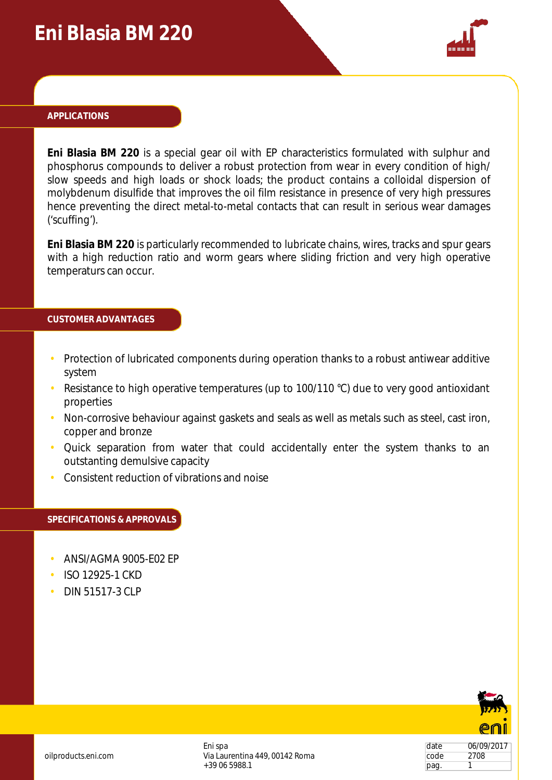## **Eni Blasia BM 220**



#### **APPLICATIONS**

**Eni Blasia BM 220** is a special gear oil with EP characteristics formulated with sulphur and phosphorus compounds to deliver a robust protection from wear in every condition of high/ slow speeds and high loads or shock loads; the product contains a colloidal dispersion of molybdenum disulfide that improves the oil film resistance in presence of very high pressures hence preventing the direct metal-to-metal contacts that can result in serious wear damages ('scuffing').

**Eni Blasia BM 220** is particularly recommended to lubricate chains, wires, tracks and spur gears with a high reduction ratio and worm gears where sliding friction and very high operative temperaturs can occur.

#### **CUSTOMER ADVANTAGES**

- Protection of lubricated components during operation thanks to a robust antiwear additive system
- Resistance to high operative temperatures (up to 100/110 °C) due to very good antioxidant properties
- Non-corrosive behaviour against gaskets and seals as well as metals such as steel, cast iron, copper and bronze
- Quick separation from water that could accidentally enter the system thanks to an outstanting demulsive capacity
- Consistent reduction of vibrations and noise

#### **SPECIFICATIONS & APPROVALS**

- ANSI/AGMA 9005-E02 EP
- ISO 12925-1 CKD
- DIN 51517-3 CLP



date 06/09/2017 code 2708 pag. 1